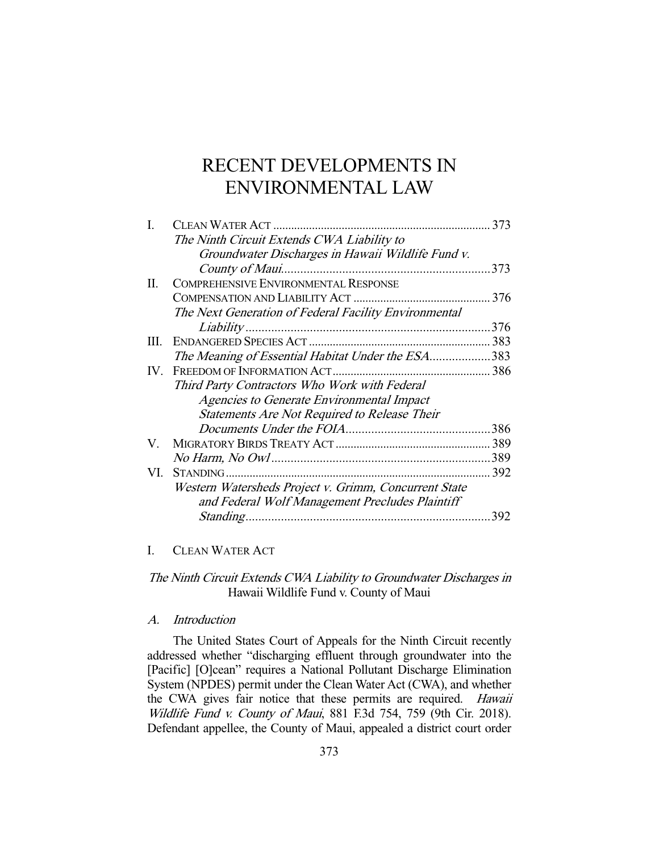# RECENT DEVELOPMENTS IN ENVIRONMENTAL LAW

|     |                                                       | 373  |
|-----|-------------------------------------------------------|------|
|     | The Ninth Circuit Extends CWA Liability to            |      |
|     | Groundwater Discharges in Hawaii Wildlife Fund v.     |      |
|     |                                                       | .373 |
| П.  | <b>COMPREHENSIVE ENVIRONMENTAL RESPONSE</b>           |      |
|     |                                                       | 376  |
|     | The Next Generation of Federal Facility Environmental |      |
|     |                                                       | 376  |
| Ш.  |                                                       | 383  |
|     | The Meaning of Essential Habitat Under the ESA383     |      |
|     |                                                       |      |
|     | Third Party Contractors Who Work with Federal         |      |
|     | <b>Agencies to Generate Environmental Impact</b>      |      |
|     | Statements Are Not Required to Release Their          |      |
|     |                                                       | .386 |
| V.  |                                                       |      |
|     |                                                       | .389 |
| VI. | STANDING                                              | 392  |
|     | Western Watersheds Project v. Grimm, Concurrent State |      |
|     | and Federal Wolf Management Precludes Plaintiff       |      |
|     |                                                       | 392  |

# I. CLEAN WATER ACT

The Ninth Circuit Extends CWA Liability to Groundwater Discharges in Hawaii Wildlife Fund v. County of Maui

## A. Introduction

 The United States Court of Appeals for the Ninth Circuit recently addressed whether "discharging effluent through groundwater into the [Pacific] [O]cean" requires a National Pollutant Discharge Elimination System (NPDES) permit under the Clean Water Act (CWA), and whether the CWA gives fair notice that these permits are required. Hawaii Wildlife Fund v. County of Maui, 881 F.3d 754, 759 (9th Cir. 2018). Defendant appellee, the County of Maui, appealed a district court order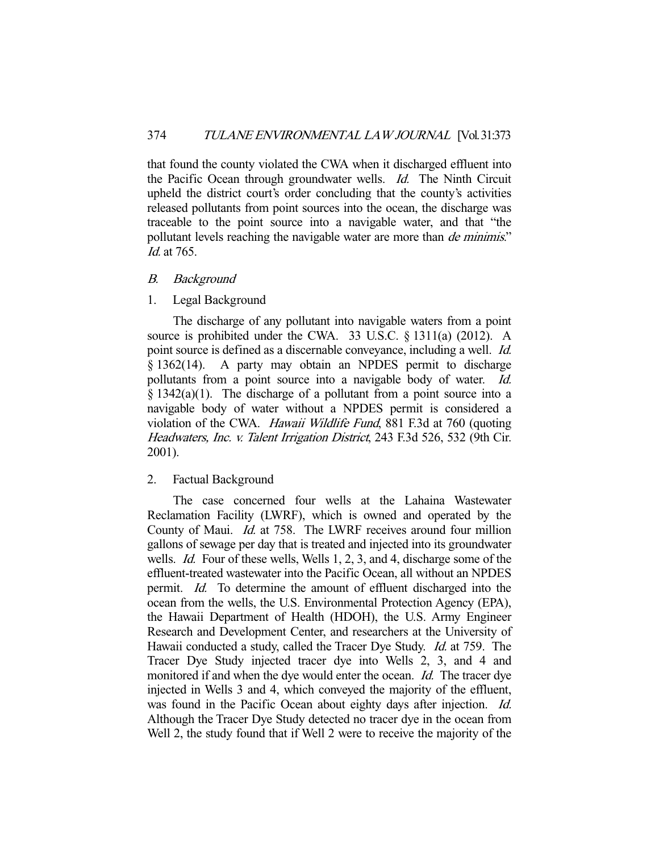that found the county violated the CWA when it discharged effluent into the Pacific Ocean through groundwater wells. Id. The Ninth Circuit upheld the district court's order concluding that the county's activities released pollutants from point sources into the ocean, the discharge was traceable to the point source into a navigable water, and that "the pollutant levels reaching the navigable water are more than *de minimis*." Id. at 765.

## B. Background

## 1. Legal Background

 The discharge of any pollutant into navigable waters from a point source is prohibited under the CWA. 33 U.S.C. § 1311(a) (2012). A point source is defined as a discernable conveyance, including a well. Id. § 1362(14). A party may obtain an NPDES permit to discharge pollutants from a point source into a navigable body of water. Id.  $§$  1342(a)(1). The discharge of a pollutant from a point source into a navigable body of water without a NPDES permit is considered a violation of the CWA. Hawaii Wildlife Fund, 881 F.3d at 760 (quoting Headwaters, Inc. v. Talent Irrigation District, 243 F.3d 526, 532 (9th Cir. 2001).

## 2. Factual Background

 The case concerned four wells at the Lahaina Wastewater Reclamation Facility (LWRF), which is owned and operated by the County of Maui. Id. at 758. The LWRF receives around four million gallons of sewage per day that is treated and injected into its groundwater wells. *Id.* Four of these wells, Wells 1, 2, 3, and 4, discharge some of the effluent-treated wastewater into the Pacific Ocean, all without an NPDES permit. Id. To determine the amount of effluent discharged into the ocean from the wells, the U.S. Environmental Protection Agency (EPA), the Hawaii Department of Health (HDOH), the U.S. Army Engineer Research and Development Center, and researchers at the University of Hawaii conducted a study, called the Tracer Dye Study. Id. at 759. The Tracer Dye Study injected tracer dye into Wells 2, 3, and 4 and monitored if and when the dye would enter the ocean. Id. The tracer dye injected in Wells 3 and 4, which conveyed the majority of the effluent, was found in the Pacific Ocean about eighty days after injection. *Id.* Although the Tracer Dye Study detected no tracer dye in the ocean from Well 2, the study found that if Well 2 were to receive the majority of the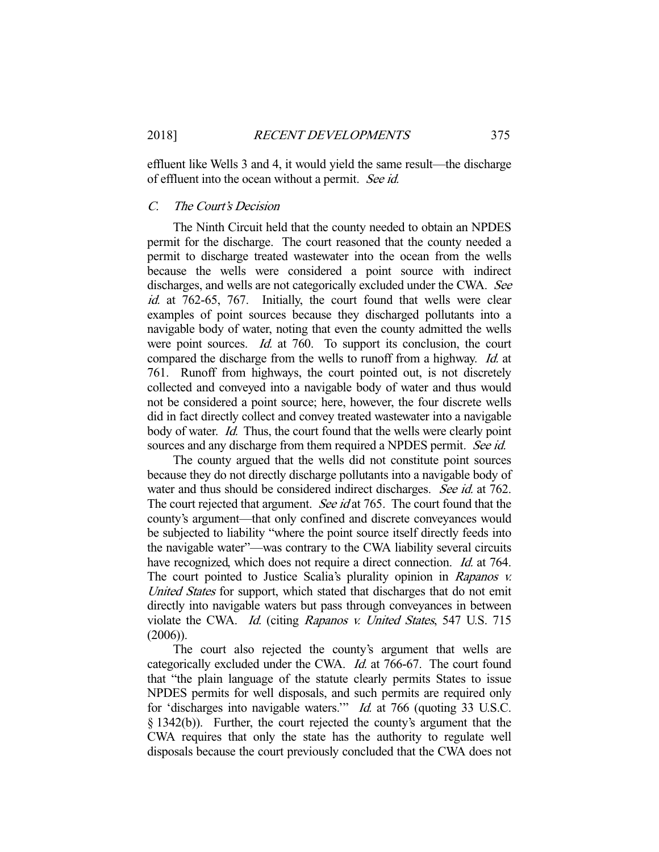effluent like Wells 3 and 4, it would yield the same result—the discharge of effluent into the ocean without a permit. See id.

## C. The Court's Decision

 The Ninth Circuit held that the county needed to obtain an NPDES permit for the discharge. The court reasoned that the county needed a permit to discharge treated wastewater into the ocean from the wells because the wells were considered a point source with indirect discharges, and wells are not categorically excluded under the CWA. See id. at 762-65, 767. Initially, the court found that wells were clear examples of point sources because they discharged pollutants into a navigable body of water, noting that even the county admitted the wells were point sources. *Id.* at 760. To support its conclusion, the court compared the discharge from the wells to runoff from a highway. Id. at 761. Runoff from highways, the court pointed out, is not discretely collected and conveyed into a navigable body of water and thus would not be considered a point source; here, however, the four discrete wells did in fact directly collect and convey treated wastewater into a navigable body of water. *Id.* Thus, the court found that the wells were clearly point sources and any discharge from them required a NPDES permit. See id.

 The county argued that the wells did not constitute point sources because they do not directly discharge pollutants into a navigable body of water and thus should be considered indirect discharges. See id. at 762. The court rejected that argument. See id at 765. The court found that the county's argument—that only confined and discrete conveyances would be subjected to liability "where the point source itself directly feeds into the navigable water"—was contrary to the CWA liability several circuits have recognized, which does not require a direct connection. Id. at 764. The court pointed to Justice Scalia's plurality opinion in Rapanos v. United States for support, which stated that discharges that do not emit directly into navigable waters but pass through conveyances in between violate the CWA. Id. (citing Rapanos v. United States, 547 U.S. 715 (2006)).

 The court also rejected the county's argument that wells are categorically excluded under the CWA. Id. at 766-67. The court found that "the plain language of the statute clearly permits States to issue NPDES permits for well disposals, and such permits are required only for 'discharges into navigable waters.'" Id. at 766 (quoting 33 U.S.C. § 1342(b)). Further, the court rejected the county's argument that the CWA requires that only the state has the authority to regulate well disposals because the court previously concluded that the CWA does not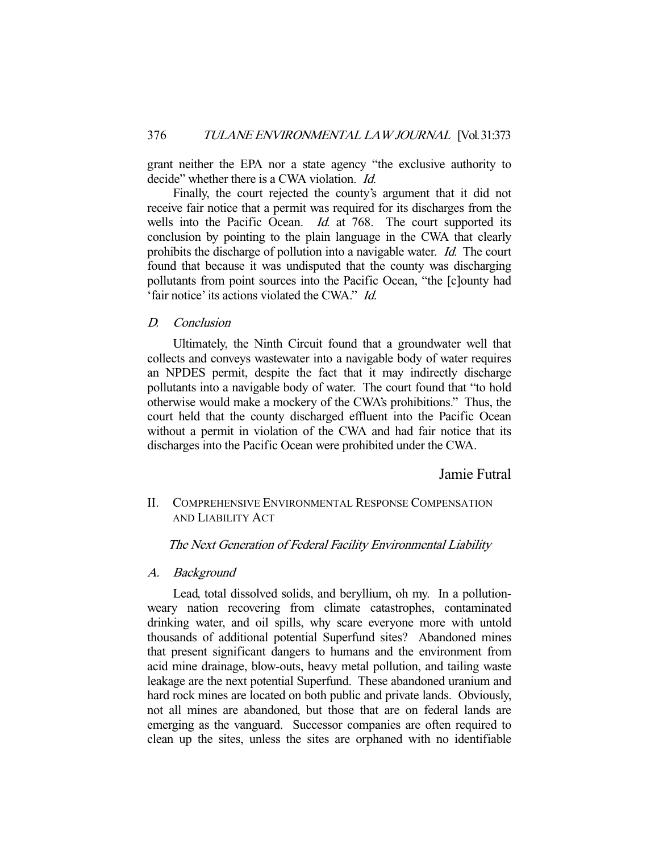grant neither the EPA nor a state agency "the exclusive authority to decide" whether there is a CWA violation. *Id.* 

 Finally, the court rejected the county's argument that it did not receive fair notice that a permit was required for its discharges from the wells into the Pacific Ocean. *Id.* at 768. The court supported its conclusion by pointing to the plain language in the CWA that clearly prohibits the discharge of pollution into a navigable water. Id. The court found that because it was undisputed that the county was discharging pollutants from point sources into the Pacific Ocean, "the [c]ounty had 'fair notice' its actions violated the CWA." Id.

D. Conclusion

 Ultimately, the Ninth Circuit found that a groundwater well that collects and conveys wastewater into a navigable body of water requires an NPDES permit, despite the fact that it may indirectly discharge pollutants into a navigable body of water. The court found that "to hold otherwise would make a mockery of the CWA's prohibitions." Thus, the court held that the county discharged effluent into the Pacific Ocean without a permit in violation of the CWA and had fair notice that its discharges into the Pacific Ocean were prohibited under the CWA.

Jamie Futral

# II. COMPREHENSIVE ENVIRONMENTAL RESPONSE COMPENSATION AND LIABILITY ACT

## The Next Generation of Federal Facility Environmental Liability

#### A. Background

 Lead, total dissolved solids, and beryllium, oh my. In a pollutionweary nation recovering from climate catastrophes, contaminated drinking water, and oil spills, why scare everyone more with untold thousands of additional potential Superfund sites? Abandoned mines that present significant dangers to humans and the environment from acid mine drainage, blow-outs, heavy metal pollution, and tailing waste leakage are the next potential Superfund. These abandoned uranium and hard rock mines are located on both public and private lands. Obviously, not all mines are abandoned, but those that are on federal lands are emerging as the vanguard. Successor companies are often required to clean up the sites, unless the sites are orphaned with no identifiable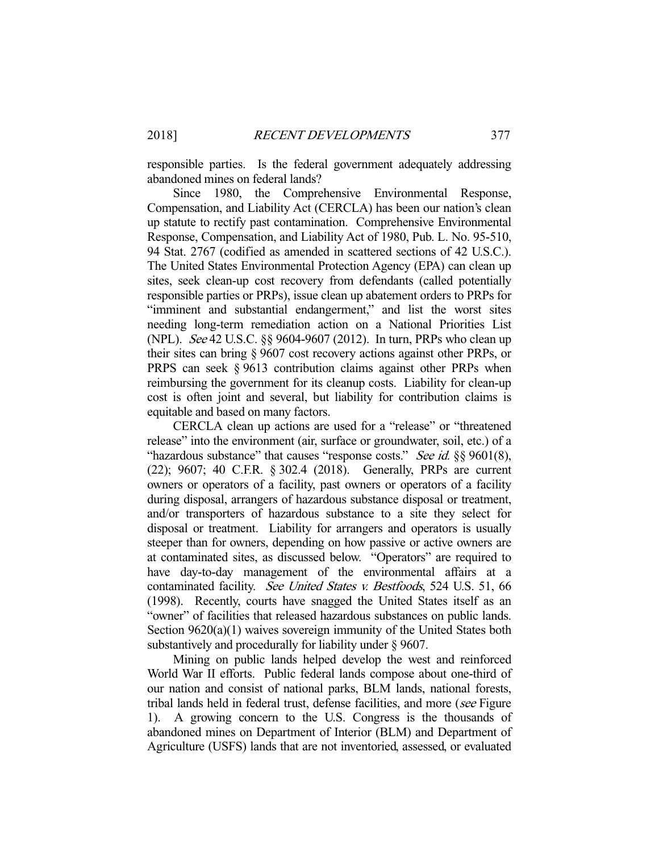responsible parties. Is the federal government adequately addressing abandoned mines on federal lands?

 Since 1980, the Comprehensive Environmental Response, Compensation, and Liability Act (CERCLA) has been our nation's clean up statute to rectify past contamination. Comprehensive Environmental Response, Compensation, and Liability Act of 1980, Pub. L. No. 95-510, 94 Stat. 2767 (codified as amended in scattered sections of 42 U.S.C.). The United States Environmental Protection Agency (EPA) can clean up sites, seek clean-up cost recovery from defendants (called potentially responsible parties or PRPs), issue clean up abatement orders to PRPs for "imminent and substantial endangerment," and list the worst sites needing long-term remediation action on a National Priorities List (NPL). See 42 U.S.C. §§ 9604-9607 (2012). In turn, PRPs who clean up their sites can bring § 9607 cost recovery actions against other PRPs, or PRPS can seek § 9613 contribution claims against other PRPs when reimbursing the government for its cleanup costs. Liability for clean-up cost is often joint and several, but liability for contribution claims is equitable and based on many factors.

 CERCLA clean up actions are used for a "release" or "threatened release" into the environment (air, surface or groundwater, soil, etc.) of a "hazardous substance" that causes "response costs." See id. §§ 9601(8), (22); 9607; 40 C.F.R. § 302.4 (2018). Generally, PRPs are current owners or operators of a facility, past owners or operators of a facility during disposal, arrangers of hazardous substance disposal or treatment, and/or transporters of hazardous substance to a site they select for disposal or treatment. Liability for arrangers and operators is usually steeper than for owners, depending on how passive or active owners are at contaminated sites, as discussed below. "Operators" are required to have day-to-day management of the environmental affairs at a contaminated facility. See United States v. Bestfoods, 524 U.S. 51, 66 (1998). Recently, courts have snagged the United States itself as an "owner" of facilities that released hazardous substances on public lands. Section 9620(a)(1) waives sovereign immunity of the United States both substantively and procedurally for liability under § 9607.

 Mining on public lands helped develop the west and reinforced World War II efforts. Public federal lands compose about one-third of our nation and consist of national parks, BLM lands, national forests, tribal lands held in federal trust, defense facilities, and more (see Figure 1). A growing concern to the U.S. Congress is the thousands of abandoned mines on Department of Interior (BLM) and Department of Agriculture (USFS) lands that are not inventoried, assessed, or evaluated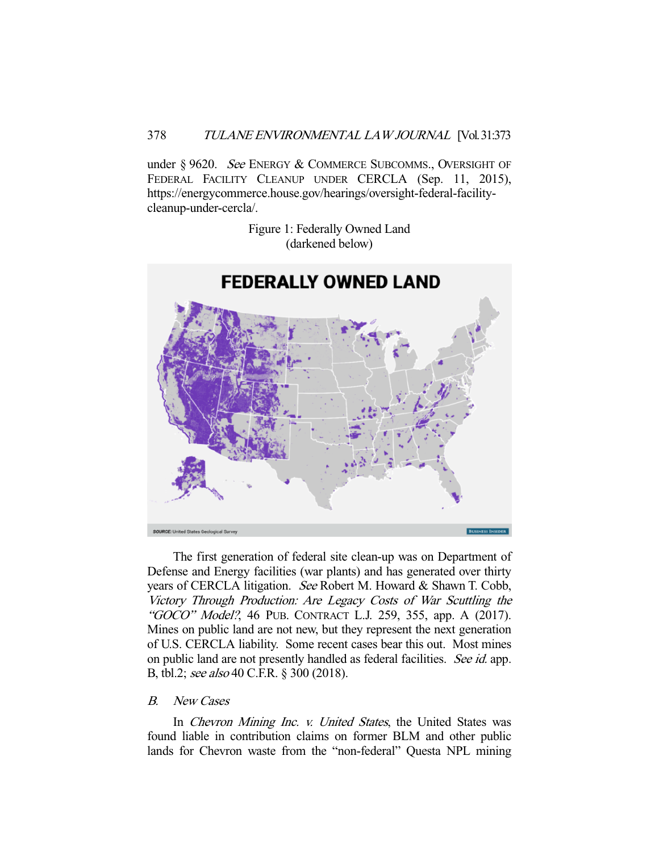## 378 TULANE ENVIRONMENTAL LAW JOURNAL [Vol. 31:373

under § 9620. See ENERGY & COMMERCE SUBCOMMS., OVERSIGHT OF FEDERAL FACILITY CLEANUP UNDER CERCLA (Sep. 11, 2015), https://energycommerce.house.gov/hearings/oversight-federal-facilitycleanup-under-cercla/.

> Figure 1: Federally Owned Land (darkened below)



 The first generation of federal site clean-up was on Department of Defense and Energy facilities (war plants) and has generated over thirty years of CERCLA litigation. See Robert M. Howard & Shawn T. Cobb, Victory Through Production: Are Legacy Costs of War Scuttling the "GOCO" Model?, 46 PUB. CONTRACT L.J. 259, 355, app. A (2017). Mines on public land are not new, but they represent the next generation of U.S. CERCLA liability. Some recent cases bear this out. Most mines on public land are not presently handled as federal facilities. See id. app. B, tbl.2; see also 40 C.F.R. § 300 (2018).

## B. New Cases

In Chevron Mining Inc. v. United States, the United States was found liable in contribution claims on former BLM and other public lands for Chevron waste from the "non-federal" Questa NPL mining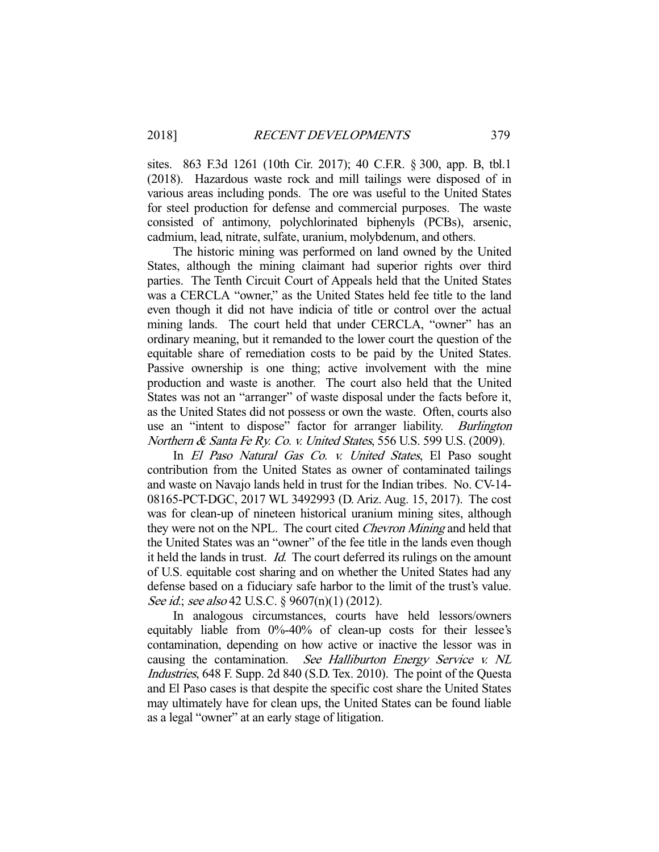sites. 863 F.3d 1261 (10th Cir. 2017); 40 C.F.R. § 300, app. B, tbl.1 (2018). Hazardous waste rock and mill tailings were disposed of in various areas including ponds. The ore was useful to the United States for steel production for defense and commercial purposes. The waste consisted of antimony, polychlorinated biphenyls (PCBs), arsenic, cadmium, lead, nitrate, sulfate, uranium, molybdenum, and others.

 The historic mining was performed on land owned by the United States, although the mining claimant had superior rights over third parties. The Tenth Circuit Court of Appeals held that the United States was a CERCLA "owner," as the United States held fee title to the land even though it did not have indicia of title or control over the actual mining lands. The court held that under CERCLA, "owner" has an ordinary meaning, but it remanded to the lower court the question of the equitable share of remediation costs to be paid by the United States. Passive ownership is one thing; active involvement with the mine production and waste is another. The court also held that the United States was not an "arranger" of waste disposal under the facts before it, as the United States did not possess or own the waste. Often, courts also use an "intent to dispose" factor for arranger liability. Burlington Northern & Santa Fe Ry. Co. v. United States, 556 U.S. 599 U.S. (2009).

 In El Paso Natural Gas Co. v. United States, El Paso sought contribution from the United States as owner of contaminated tailings and waste on Navajo lands held in trust for the Indian tribes. No. CV-14- 08165-PCT-DGC, 2017 WL 3492993 (D. Ariz. Aug. 15, 2017). The cost was for clean-up of nineteen historical uranium mining sites, although they were not on the NPL. The court cited *Chevron Mining* and held that the United States was an "owner" of the fee title in the lands even though it held the lands in trust. Id. The court deferred its rulings on the amount of U.S. equitable cost sharing and on whether the United States had any defense based on a fiduciary safe harbor to the limit of the trust's value. See id.; see also 42 U.S.C. § 9607(n)(1) (2012).

 In analogous circumstances, courts have held lessors/owners equitably liable from 0%-40% of clean-up costs for their lessee's contamination, depending on how active or inactive the lessor was in causing the contamination. See Halliburton Energy Service v. NL Industries, 648 F. Supp. 2d 840 (S.D. Tex. 2010). The point of the Questa and El Paso cases is that despite the specific cost share the United States may ultimately have for clean ups, the United States can be found liable as a legal "owner" at an early stage of litigation.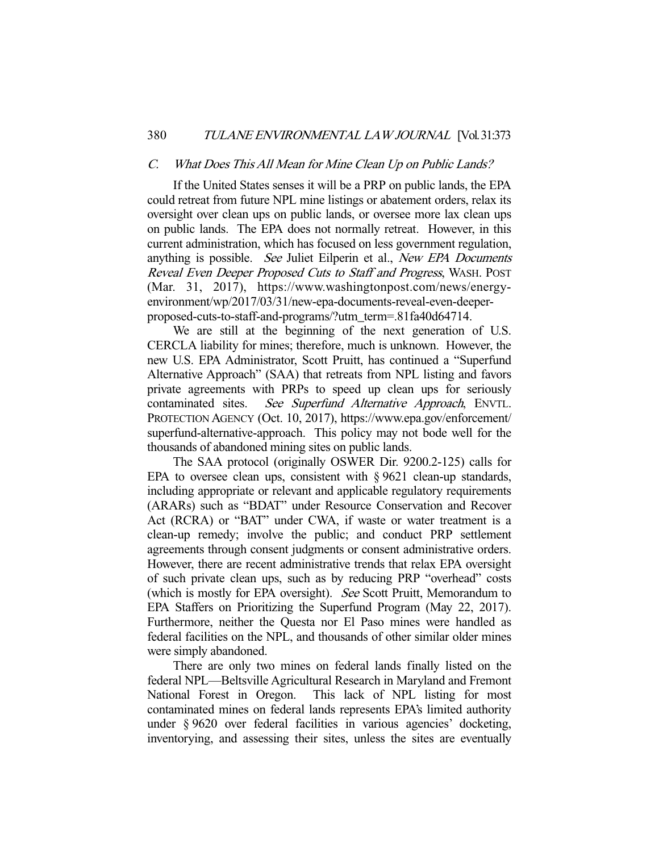#### C. What Does This All Mean for Mine Clean Up on Public Lands?

 If the United States senses it will be a PRP on public lands, the EPA could retreat from future NPL mine listings or abatement orders, relax its oversight over clean ups on public lands, or oversee more lax clean ups on public lands. The EPA does not normally retreat. However, in this current administration, which has focused on less government regulation, anything is possible. See Juliet Eilperin et al., New EPA Documents Reveal Even Deeper Proposed Cuts to Staff and Progress, WASH. POST (Mar. 31, 2017), https://www.washingtonpost.com/news/energyenvironment/wp/2017/03/31/new-epa-documents-reveal-even-deeperproposed-cuts-to-staff-and-programs/?utm\_term=.81fa40d64714.

 We are still at the beginning of the next generation of U.S. CERCLA liability for mines; therefore, much is unknown. However, the new U.S. EPA Administrator, Scott Pruitt, has continued a "Superfund Alternative Approach" (SAA) that retreats from NPL listing and favors private agreements with PRPs to speed up clean ups for seriously contaminated sites. See Superfund Alternative Approach, ENVTL. PROTECTION AGENCY (Oct. 10, 2017), https://www.epa.gov/enforcement/ superfund-alternative-approach. This policy may not bode well for the thousands of abandoned mining sites on public lands.

 The SAA protocol (originally OSWER Dir. 9200.2-125) calls for EPA to oversee clean ups, consistent with § 9621 clean-up standards, including appropriate or relevant and applicable regulatory requirements (ARARs) such as "BDAT" under Resource Conservation and Recover Act (RCRA) or "BAT" under CWA, if waste or water treatment is a clean-up remedy; involve the public; and conduct PRP settlement agreements through consent judgments or consent administrative orders. However, there are recent administrative trends that relax EPA oversight of such private clean ups, such as by reducing PRP "overhead" costs (which is mostly for EPA oversight). See Scott Pruitt, Memorandum to EPA Staffers on Prioritizing the Superfund Program (May 22, 2017). Furthermore, neither the Questa nor El Paso mines were handled as federal facilities on the NPL, and thousands of other similar older mines were simply abandoned.

 There are only two mines on federal lands finally listed on the federal NPL—Beltsville Agricultural Research in Maryland and Fremont National Forest in Oregon. This lack of NPL listing for most contaminated mines on federal lands represents EPA's limited authority under § 9620 over federal facilities in various agencies' docketing, inventorying, and assessing their sites, unless the sites are eventually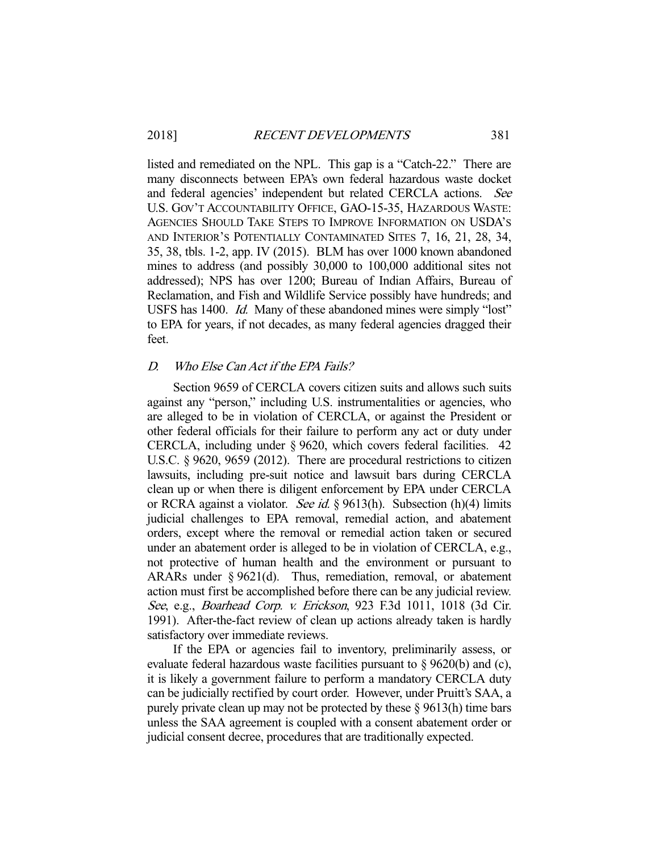listed and remediated on the NPL. This gap is a "Catch-22." There are many disconnects between EPA's own federal hazardous waste docket and federal agencies' independent but related CERCLA actions. See U.S. GOV'T ACCOUNTABILITY OFFICE, GAO-15-35, HAZARDOUS WASTE: AGENCIES SHOULD TAKE STEPS TO IMPROVE INFORMATION ON USDA'S AND INTERIOR'S POTENTIALLY CONTAMINATED SITES 7, 16, 21, 28, 34, 35, 38, tbls. 1-2, app. IV (2015). BLM has over 1000 known abandoned mines to address (and possibly 30,000 to 100,000 additional sites not addressed); NPS has over 1200; Bureau of Indian Affairs, Bureau of Reclamation, and Fish and Wildlife Service possibly have hundreds; and USFS has 1400. *Id.* Many of these abandoned mines were simply "lost" to EPA for years, if not decades, as many federal agencies dragged their feet.

#### D. Who Else Can Act if the EPA Fails?

 Section 9659 of CERCLA covers citizen suits and allows such suits against any "person," including U.S. instrumentalities or agencies, who are alleged to be in violation of CERCLA, or against the President or other federal officials for their failure to perform any act or duty under CERCLA, including under § 9620, which covers federal facilities. 42 U.S.C. § 9620, 9659 (2012). There are procedural restrictions to citizen lawsuits, including pre-suit notice and lawsuit bars during CERCLA clean up or when there is diligent enforcement by EPA under CERCLA or RCRA against a violator. *See id.* § 9613(h). Subsection (h)(4) limits judicial challenges to EPA removal, remedial action, and abatement orders, except where the removal or remedial action taken or secured under an abatement order is alleged to be in violation of CERCLA, e.g., not protective of human health and the environment or pursuant to ARARs under § 9621(d). Thus, remediation, removal, or abatement action must first be accomplished before there can be any judicial review. See, e.g., Boarhead Corp. v. Erickson, 923 F.3d 1011, 1018 (3d Cir. 1991). After-the-fact review of clean up actions already taken is hardly satisfactory over immediate reviews.

 If the EPA or agencies fail to inventory, preliminarily assess, or evaluate federal hazardous waste facilities pursuant to § 9620(b) and (c), it is likely a government failure to perform a mandatory CERCLA duty can be judicially rectified by court order. However, under Pruitt's SAA, a purely private clean up may not be protected by these § 9613(h) time bars unless the SAA agreement is coupled with a consent abatement order or judicial consent decree, procedures that are traditionally expected.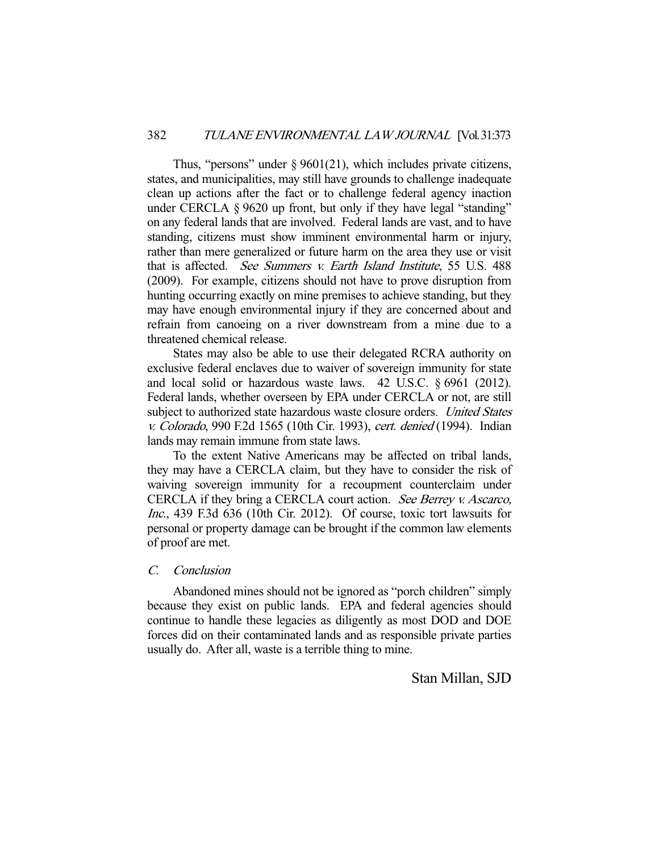Thus, "persons" under  $\S 9601(21)$ , which includes private citizens, states, and municipalities, may still have grounds to challenge inadequate clean up actions after the fact or to challenge federal agency inaction under CERCLA § 9620 up front, but only if they have legal "standing" on any federal lands that are involved. Federal lands are vast, and to have standing, citizens must show imminent environmental harm or injury, rather than mere generalized or future harm on the area they use or visit that is affected. See Summers v. Earth Island Institute, 55 U.S. 488 (2009). For example, citizens should not have to prove disruption from hunting occurring exactly on mine premises to achieve standing, but they may have enough environmental injury if they are concerned about and refrain from canoeing on a river downstream from a mine due to a threatened chemical release.

 States may also be able to use their delegated RCRA authority on exclusive federal enclaves due to waiver of sovereign immunity for state and local solid or hazardous waste laws. 42 U.S.C. § 6961 (2012). Federal lands, whether overseen by EPA under CERCLA or not, are still subject to authorized state hazardous waste closure orders. United States v. Colorado, 990 F.2d 1565 (10th Cir. 1993), cert. denied (1994). Indian lands may remain immune from state laws.

 To the extent Native Americans may be affected on tribal lands, they may have a CERCLA claim, but they have to consider the risk of waiving sovereign immunity for a recoupment counterclaim under CERCLA if they bring a CERCLA court action. See Berrey v. Ascarco, Inc., 439 F.3d 636 (10th Cir. 2012). Of course, toxic tort lawsuits for personal or property damage can be brought if the common law elements of proof are met.

### C. Conclusion

 Abandoned mines should not be ignored as "porch children" simply because they exist on public lands. EPA and federal agencies should continue to handle these legacies as diligently as most DOD and DOE forces did on their contaminated lands and as responsible private parties usually do. After all, waste is a terrible thing to mine.

Stan Millan, SJD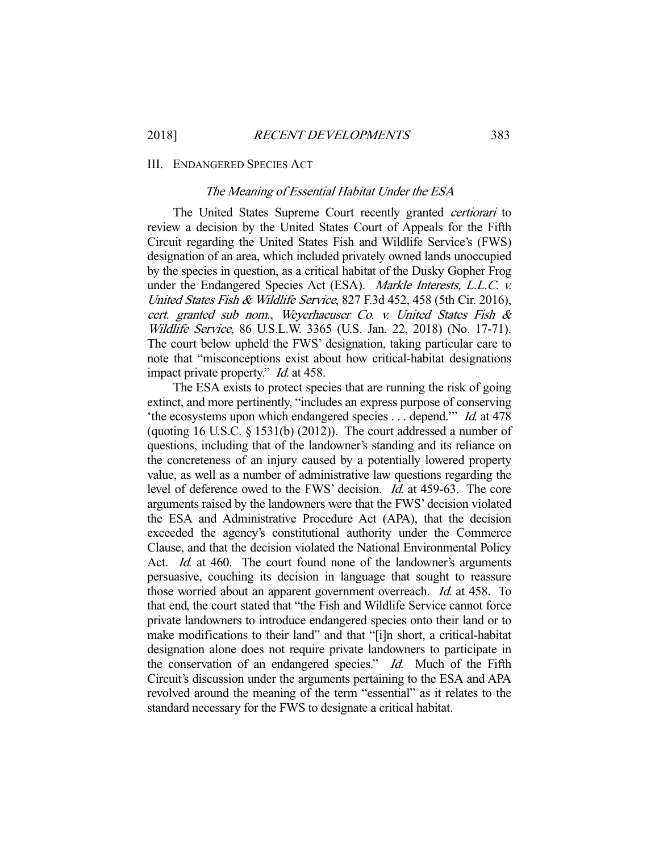#### III. ENDANGERED SPECIES ACT

#### The Meaning of Essential Habitat Under the ESA

The United States Supreme Court recently granted *certiorari* to review a decision by the United States Court of Appeals for the Fifth Circuit regarding the United States Fish and Wildlife Service's (FWS) designation of an area, which included privately owned lands unoccupied by the species in question, as a critical habitat of the Dusky Gopher Frog under the Endangered Species Act (ESA). Markle Interests, L.L.C. v. United States Fish & Wildlife Service, 827 F.3d 452, 458 (5th Cir. 2016), cert. granted sub nom., Weyerhaeuser Co. v. United States Fish & Wildlife Service, 86 U.S.L.W. 3365 (U.S. Jan. 22, 2018) (No. 17-71). The court below upheld the FWS' designation, taking particular care to note that "misconceptions exist about how critical-habitat designations impact private property." *Id.* at 458.

 The ESA exists to protect species that are running the risk of going extinct, and more pertinently, "includes an express purpose of conserving 'the ecosystems upon which endangered species . . . depend.'" Id. at 478 (quoting 16 U.S.C. § 1531(b) (2012)). The court addressed a number of questions, including that of the landowner's standing and its reliance on the concreteness of an injury caused by a potentially lowered property value, as well as a number of administrative law questions regarding the level of deference owed to the FWS' decision. Id. at 459-63. The core arguments raised by the landowners were that the FWS' decision violated the ESA and Administrative Procedure Act (APA), that the decision exceeded the agency's constitutional authority under the Commerce Clause, and that the decision violated the National Environmental Policy Act. *Id.* at 460. The court found none of the landowner's arguments persuasive, couching its decision in language that sought to reassure those worried about an apparent government overreach. Id. at 458. To that end, the court stated that "the Fish and Wildlife Service cannot force private landowners to introduce endangered species onto their land or to make modifications to their land" and that "[i]n short, a critical-habitat designation alone does not require private landowners to participate in the conservation of an endangered species." Id. Much of the Fifth Circuit's discussion under the arguments pertaining to the ESA and APA revolved around the meaning of the term "essential" as it relates to the standard necessary for the FWS to designate a critical habitat.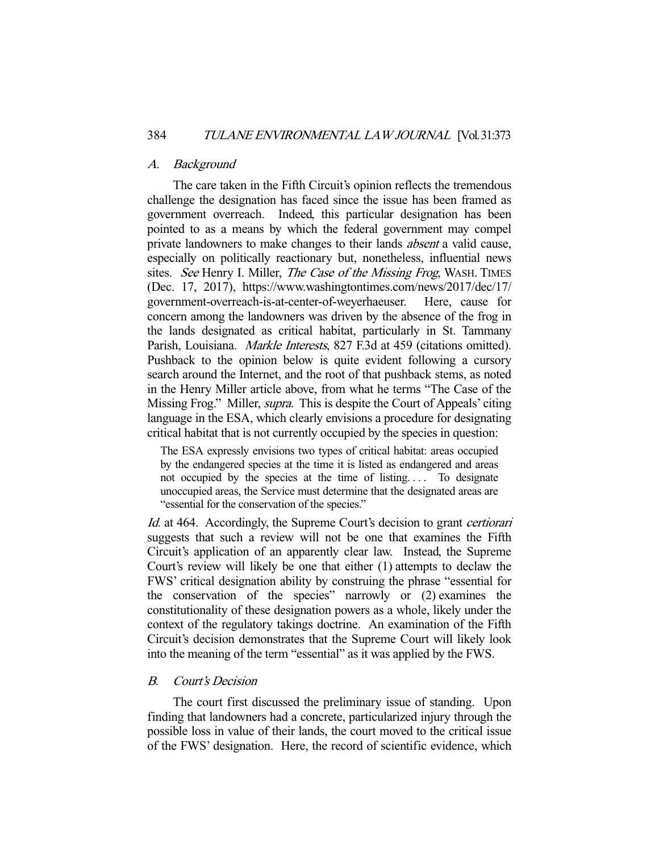#### A. Background

 The care taken in the Fifth Circuit's opinion reflects the tremendous challenge the designation has faced since the issue has been framed as government overreach. Indeed, this particular designation has been pointed to as a means by which the federal government may compel private landowners to make changes to their lands absent a valid cause, especially on politically reactionary but, nonetheless, influential news sites. See Henry I. Miller, The Case of the Missing Frog, WASH. TIMES (Dec. 17, 2017), https://www.washingtontimes.com/news/2017/dec/17/ government-overreach-is-at-center-of-weyerhaeuser. Here, cause for concern among the landowners was driven by the absence of the frog in the lands designated as critical habitat, particularly in St. Tammany Parish, Louisiana. *Markle Interests*, 827 F.3d at 459 (citations omitted). Pushback to the opinion below is quite evident following a cursory search around the Internet, and the root of that pushback stems, as noted in the Henry Miller article above, from what he terms "The Case of the Missing Frog." Miller, *supra*. This is despite the Court of Appeals' citing language in the ESA, which clearly envisions a procedure for designating critical habitat that is not currently occupied by the species in question:

The ESA expressly envisions two types of critical habitat: areas occupied by the endangered species at the time it is listed as endangered and areas not occupied by the species at the time of listing.... To designate unoccupied areas, the Service must determine that the designated areas are "essential for the conservation of the species."

Id. at 464. Accordingly, the Supreme Court's decision to grant *certiorari* suggests that such a review will not be one that examines the Fifth Circuit's application of an apparently clear law. Instead, the Supreme Court's review will likely be one that either (1) attempts to declaw the FWS' critical designation ability by construing the phrase "essential for the conservation of the species" narrowly or (2) examines the constitutionality of these designation powers as a whole, likely under the context of the regulatory takings doctrine. An examination of the Fifth Circuit's decision demonstrates that the Supreme Court will likely look into the meaning of the term "essential" as it was applied by the FWS.

## B. Court's Decision

 The court first discussed the preliminary issue of standing. Upon finding that landowners had a concrete, particularized injury through the possible loss in value of their lands, the court moved to the critical issue of the FWS' designation. Here, the record of scientific evidence, which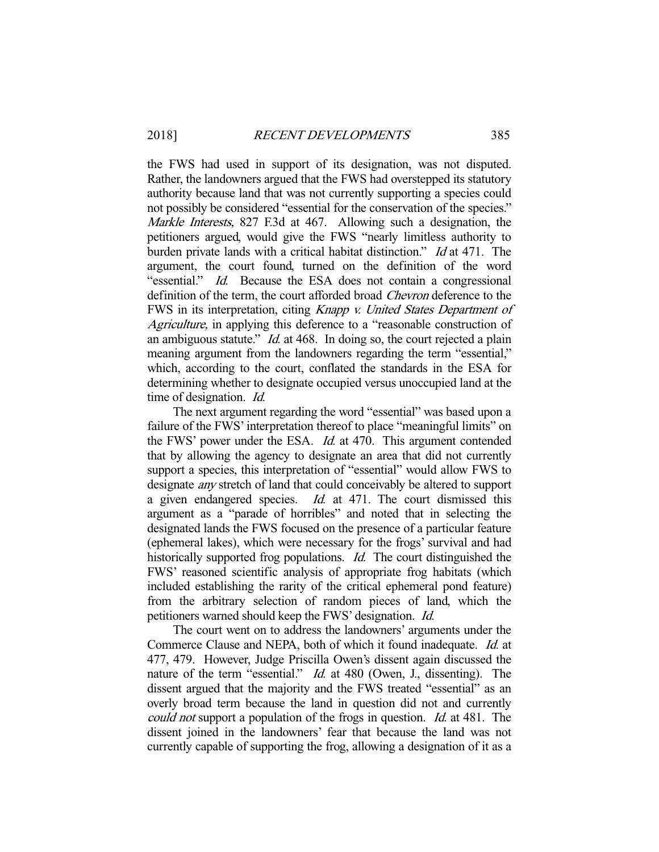the FWS had used in support of its designation, was not disputed. Rather, the landowners argued that the FWS had overstepped its statutory authority because land that was not currently supporting a species could not possibly be considered "essential for the conservation of the species." Markle Interests, 827 F.3d at 467. Allowing such a designation, the petitioners argued, would give the FWS "nearly limitless authority to burden private lands with a critical habitat distinction." Id at 471. The argument, the court found, turned on the definition of the word "essential." Id. Because the ESA does not contain a congressional definition of the term, the court afforded broad *Chevron* deference to the FWS in its interpretation, citing Knapp v. United States Department of Agriculture, in applying this deference to a "reasonable construction of an ambiguous statute." *Id.* at 468. In doing so, the court rejected a plain meaning argument from the landowners regarding the term "essential," which, according to the court, conflated the standards in the ESA for determining whether to designate occupied versus unoccupied land at the time of designation. Id.

 The next argument regarding the word "essential" was based upon a failure of the FWS' interpretation thereof to place "meaningful limits" on the FWS' power under the ESA. Id. at 470. This argument contended that by allowing the agency to designate an area that did not currently support a species, this interpretation of "essential" would allow FWS to designate any stretch of land that could conceivably be altered to support a given endangered species. Id. at 471. The court dismissed this argument as a "parade of horribles" and noted that in selecting the designated lands the FWS focused on the presence of a particular feature (ephemeral lakes), which were necessary for the frogs' survival and had historically supported frog populations. *Id.* The court distinguished the FWS' reasoned scientific analysis of appropriate frog habitats (which included establishing the rarity of the critical ephemeral pond feature) from the arbitrary selection of random pieces of land, which the petitioners warned should keep the FWS' designation. Id.

 The court went on to address the landowners' arguments under the Commerce Clause and NEPA, both of which it found inadequate. Id. at 477, 479. However, Judge Priscilla Owen's dissent again discussed the nature of the term "essential." *Id.* at 480 (Owen, J., dissenting). The dissent argued that the majority and the FWS treated "essential" as an overly broad term because the land in question did not and currently could not support a population of the frogs in question. *Id.* at 481. The dissent joined in the landowners' fear that because the land was not currently capable of supporting the frog, allowing a designation of it as a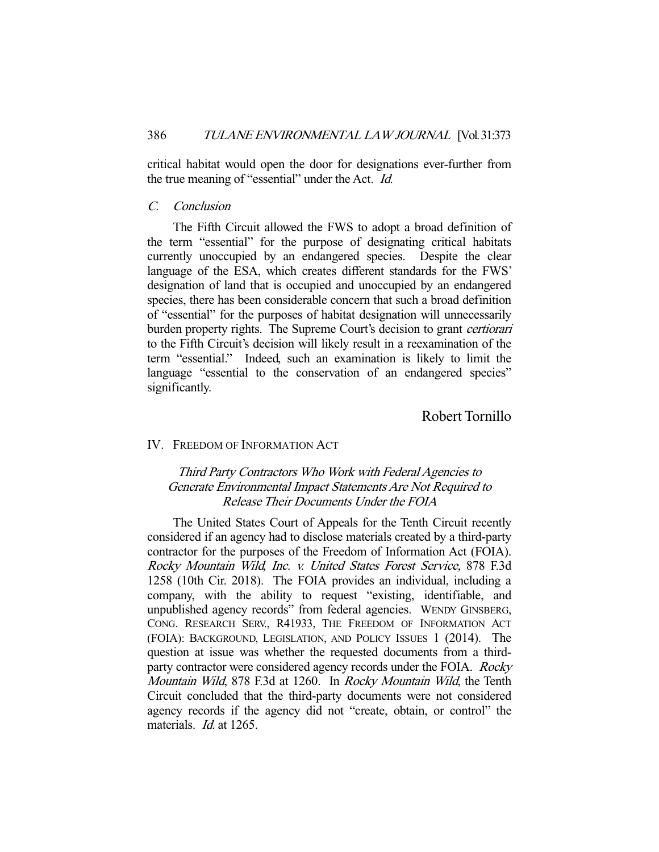critical habitat would open the door for designations ever-further from the true meaning of "essential" under the Act. Id.

## C. Conclusion

 The Fifth Circuit allowed the FWS to adopt a broad definition of the term "essential" for the purpose of designating critical habitats currently unoccupied by an endangered species. Despite the clear language of the ESA, which creates different standards for the FWS' designation of land that is occupied and unoccupied by an endangered species, there has been considerable concern that such a broad definition of "essential" for the purposes of habitat designation will unnecessarily burden property rights. The Supreme Court's decision to grant *certiorari* to the Fifth Circuit's decision will likely result in a reexamination of the term "essential." Indeed, such an examination is likely to limit the language "essential to the conservation of an endangered species" significantly.

# Robert Tornillo

#### IV. FREEDOM OF INFORMATION ACT

# Third Party Contractors Who Work with Federal Agencies to Generate Environmental Impact Statements Are Not Required to Release Their Documents Under the FOIA

 The United States Court of Appeals for the Tenth Circuit recently considered if an agency had to disclose materials created by a third-party contractor for the purposes of the Freedom of Information Act (FOIA). Rocky Mountain Wild, Inc. v. United States Forest Service, 878 F.3d 1258 (10th Cir. 2018). The FOIA provides an individual, including a company, with the ability to request "existing, identifiable, and unpublished agency records" from federal agencies. WENDY GINSBERG, CONG. RESEARCH SERV., R41933, THE FREEDOM OF INFORMATION ACT (FOIA): BACKGROUND, LEGISLATION, AND POLICY ISSUES 1 (2014). The question at issue was whether the requested documents from a thirdparty contractor were considered agency records under the FOIA. Rocky Mountain Wild, 878 F.3d at 1260. In Rocky Mountain Wild, the Tenth Circuit concluded that the third-party documents were not considered agency records if the agency did not "create, obtain, or control" the materials. *Id.* at 1265.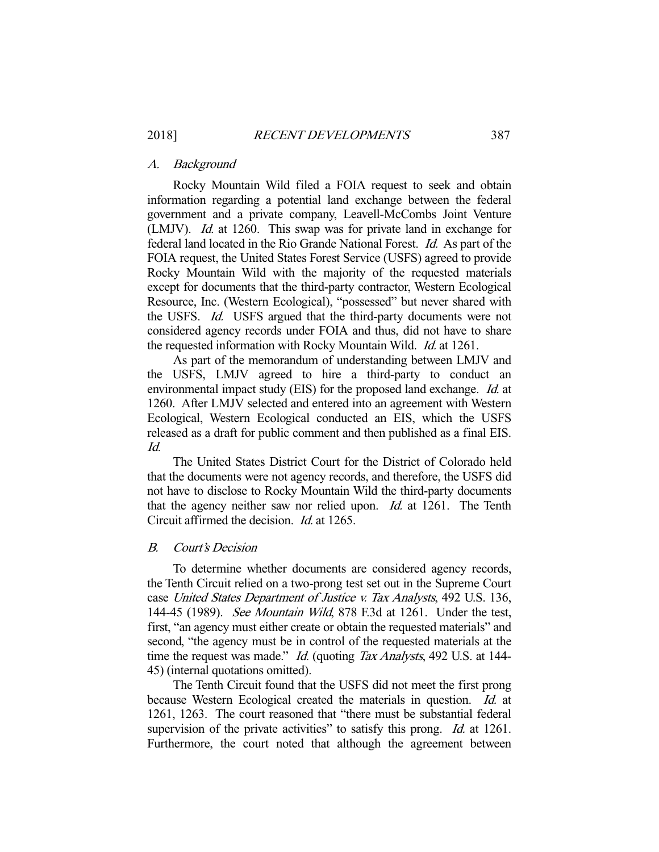#### A. Background

 Rocky Mountain Wild filed a FOIA request to seek and obtain information regarding a potential land exchange between the federal government and a private company, Leavell-McCombs Joint Venture (LMJV). Id. at 1260. This swap was for private land in exchange for federal land located in the Rio Grande National Forest. Id. As part of the FOIA request, the United States Forest Service (USFS) agreed to provide Rocky Mountain Wild with the majority of the requested materials except for documents that the third-party contractor, Western Ecological Resource, Inc. (Western Ecological), "possessed" but never shared with the USFS. Id. USFS argued that the third-party documents were not considered agency records under FOIA and thus, did not have to share the requested information with Rocky Mountain Wild. *Id.* at 1261.

 As part of the memorandum of understanding between LMJV and the USFS, LMJV agreed to hire a third-party to conduct an environmental impact study (EIS) for the proposed land exchange. Id. at 1260. After LMJV selected and entered into an agreement with Western Ecological, Western Ecological conducted an EIS, which the USFS released as a draft for public comment and then published as a final EIS. Id.

 The United States District Court for the District of Colorado held that the documents were not agency records, and therefore, the USFS did not have to disclose to Rocky Mountain Wild the third-party documents that the agency neither saw nor relied upon. Id. at 1261. The Tenth Circuit affirmed the decision. Id. at 1265.

#### B. Court's Decision

 To determine whether documents are considered agency records, the Tenth Circuit relied on a two-prong test set out in the Supreme Court case United States Department of Justice v. Tax Analysts, 492 U.S. 136, 144-45 (1989). See Mountain Wild, 878 F.3d at 1261. Under the test, first, "an agency must either create or obtain the requested materials" and second, "the agency must be in control of the requested materials at the time the request was made." Id. (quoting Tax Analysts, 492 U.S. at 144-45) (internal quotations omitted).

 The Tenth Circuit found that the USFS did not meet the first prong because Western Ecological created the materials in question. *Id.* at 1261, 1263. The court reasoned that "there must be substantial federal supervision of the private activities" to satisfy this prong. *Id.* at 1261. Furthermore, the court noted that although the agreement between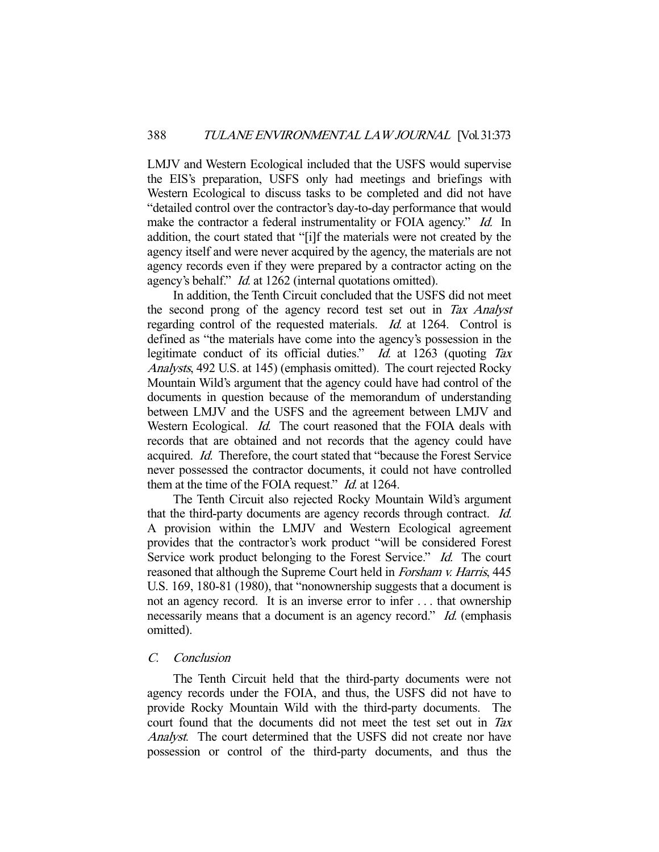LMJV and Western Ecological included that the USFS would supervise the EIS's preparation, USFS only had meetings and briefings with Western Ecological to discuss tasks to be completed and did not have "detailed control over the contractor's day-to-day performance that would make the contractor a federal instrumentality or FOIA agency." Id. In addition, the court stated that "[i]f the materials were not created by the agency itself and were never acquired by the agency, the materials are not agency records even if they were prepared by a contractor acting on the agency's behalf." Id. at 1262 (internal quotations omitted).

 In addition, the Tenth Circuit concluded that the USFS did not meet the second prong of the agency record test set out in Tax Analyst regarding control of the requested materials. Id. at 1264. Control is defined as "the materials have come into the agency's possession in the legitimate conduct of its official duties." *Id.* at 1263 (quoting Tax Analysts, 492 U.S. at 145) (emphasis omitted). The court rejected Rocky Mountain Wild's argument that the agency could have had control of the documents in question because of the memorandum of understanding between LMJV and the USFS and the agreement between LMJV and Western Ecological. *Id.* The court reasoned that the FOIA deals with records that are obtained and not records that the agency could have acquired. Id. Therefore, the court stated that "because the Forest Service never possessed the contractor documents, it could not have controlled them at the time of the FOIA request." *Id.* at 1264.

 The Tenth Circuit also rejected Rocky Mountain Wild's argument that the third-party documents are agency records through contract. Id. A provision within the LMJV and Western Ecological agreement provides that the contractor's work product "will be considered Forest Service work product belonging to the Forest Service." Id. The court reasoned that although the Supreme Court held in Forsham v. Harris, 445 U.S. 169, 180-81 (1980), that "nonownership suggests that a document is not an agency record. It is an inverse error to infer . . . that ownership necessarily means that a document is an agency record." Id. (emphasis omitted).

## C. Conclusion

 The Tenth Circuit held that the third-party documents were not agency records under the FOIA, and thus, the USFS did not have to provide Rocky Mountain Wild with the third-party documents. The court found that the documents did not meet the test set out in Tax Analyst. The court determined that the USFS did not create nor have possession or control of the third-party documents, and thus the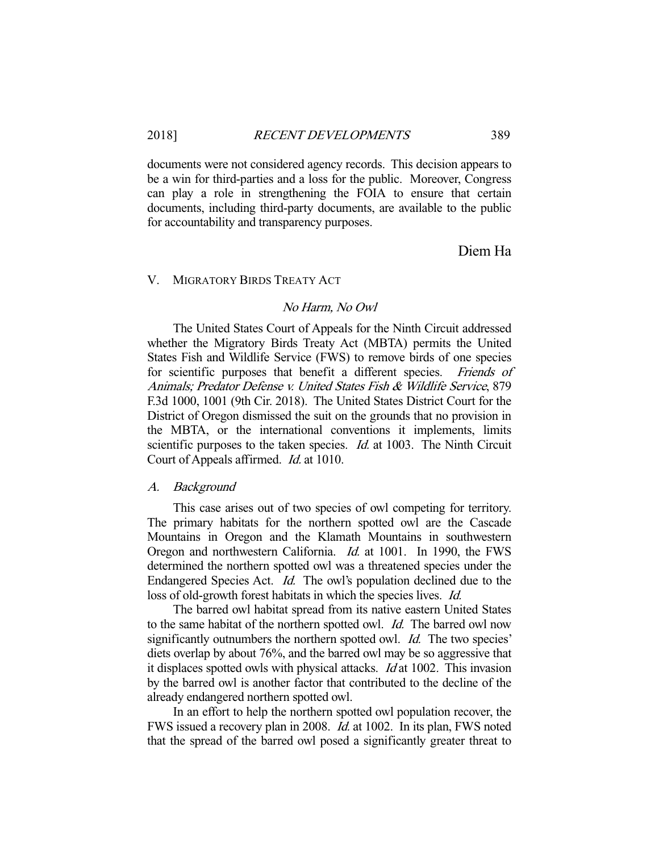documents were not considered agency records. This decision appears to be a win for third-parties and a loss for the public. Moreover, Congress can play a role in strengthening the FOIA to ensure that certain documents, including third-party documents, are available to the public for accountability and transparency purposes.

Diem Ha

## V. MIGRATORY BIRDS TREATY ACT

## No Harm, No Owl

 The United States Court of Appeals for the Ninth Circuit addressed whether the Migratory Birds Treaty Act (MBTA) permits the United States Fish and Wildlife Service (FWS) to remove birds of one species for scientific purposes that benefit a different species. Friends of Animals; Predator Defense v. United States Fish & Wildlife Service, 879 F.3d 1000, 1001 (9th Cir. 2018). The United States District Court for the District of Oregon dismissed the suit on the grounds that no provision in the MBTA, or the international conventions it implements, limits scientific purposes to the taken species. *Id.* at 1003. The Ninth Circuit Court of Appeals affirmed. Id. at 1010.

## A. Background

 This case arises out of two species of owl competing for territory. The primary habitats for the northern spotted owl are the Cascade Mountains in Oregon and the Klamath Mountains in southwestern Oregon and northwestern California. Id. at 1001. In 1990, the FWS determined the northern spotted owl was a threatened species under the Endangered Species Act. Id. The owl's population declined due to the loss of old-growth forest habitats in which the species lives. Id.

 The barred owl habitat spread from its native eastern United States to the same habitat of the northern spotted owl. Id. The barred owl now significantly outnumbers the northern spotted owl. *Id.* The two species' diets overlap by about 76%, and the barred owl may be so aggressive that it displaces spotted owls with physical attacks. Id at 1002. This invasion by the barred owl is another factor that contributed to the decline of the already endangered northern spotted owl.

 In an effort to help the northern spotted owl population recover, the FWS issued a recovery plan in 2008. Id. at 1002. In its plan, FWS noted that the spread of the barred owl posed a significantly greater threat to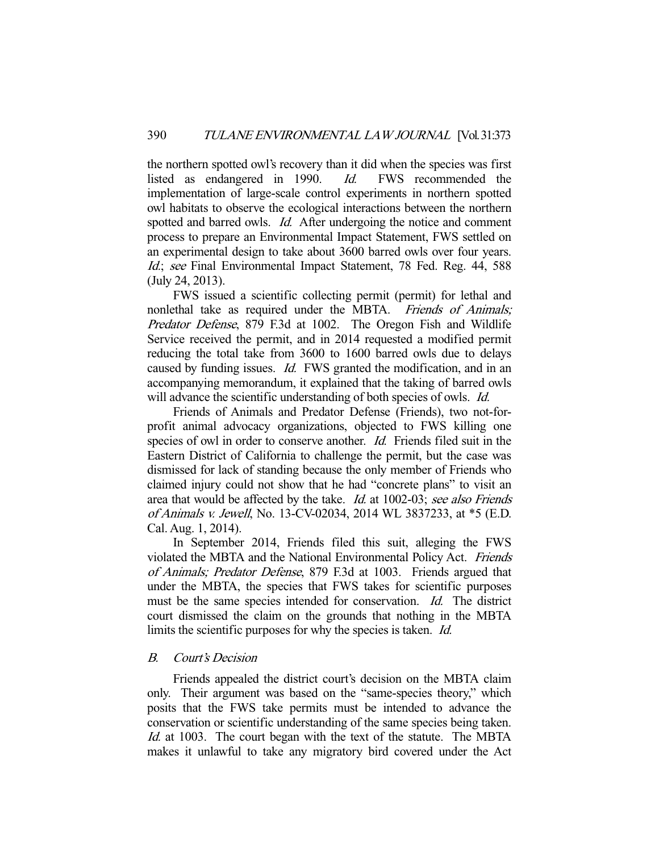the northern spotted owl's recovery than it did when the species was first listed as endangered in 1990. Id. FWS recommended the implementation of large-scale control experiments in northern spotted owl habitats to observe the ecological interactions between the northern spotted and barred owls. *Id.* After undergoing the notice and comment process to prepare an Environmental Impact Statement, FWS settled on an experimental design to take about 3600 barred owls over four years. Id.; see Final Environmental Impact Statement, 78 Fed. Reg. 44, 588 (July 24, 2013).

 FWS issued a scientific collecting permit (permit) for lethal and nonlethal take as required under the MBTA. Friends of Animals; Predator Defense, 879 F.3d at 1002. The Oregon Fish and Wildlife Service received the permit, and in 2014 requested a modified permit reducing the total take from 3600 to 1600 barred owls due to delays caused by funding issues. Id. FWS granted the modification, and in an accompanying memorandum, it explained that the taking of barred owls will advance the scientific understanding of both species of owls. *Id.* 

 Friends of Animals and Predator Defense (Friends), two not-forprofit animal advocacy organizations, objected to FWS killing one species of owl in order to conserve another. *Id.* Friends filed suit in the Eastern District of California to challenge the permit, but the case was dismissed for lack of standing because the only member of Friends who claimed injury could not show that he had "concrete plans" to visit an area that would be affected by the take. Id. at 1002-03; see also Friends of Animals v. Jewell, No. 13-CV-02034, 2014 WL 3837233, at \*5 (E.D. Cal. Aug. 1, 2014).

 In September 2014, Friends filed this suit, alleging the FWS violated the MBTA and the National Environmental Policy Act. Friends of Animals; Predator Defense, 879 F.3d at 1003. Friends argued that under the MBTA, the species that FWS takes for scientific purposes must be the same species intended for conservation. Id. The district court dismissed the claim on the grounds that nothing in the MBTA limits the scientific purposes for why the species is taken. Id.

## B. Court's Decision

 Friends appealed the district court's decision on the MBTA claim only. Their argument was based on the "same-species theory," which posits that the FWS take permits must be intended to advance the conservation or scientific understanding of the same species being taken. Id. at 1003. The court began with the text of the statute. The MBTA makes it unlawful to take any migratory bird covered under the Act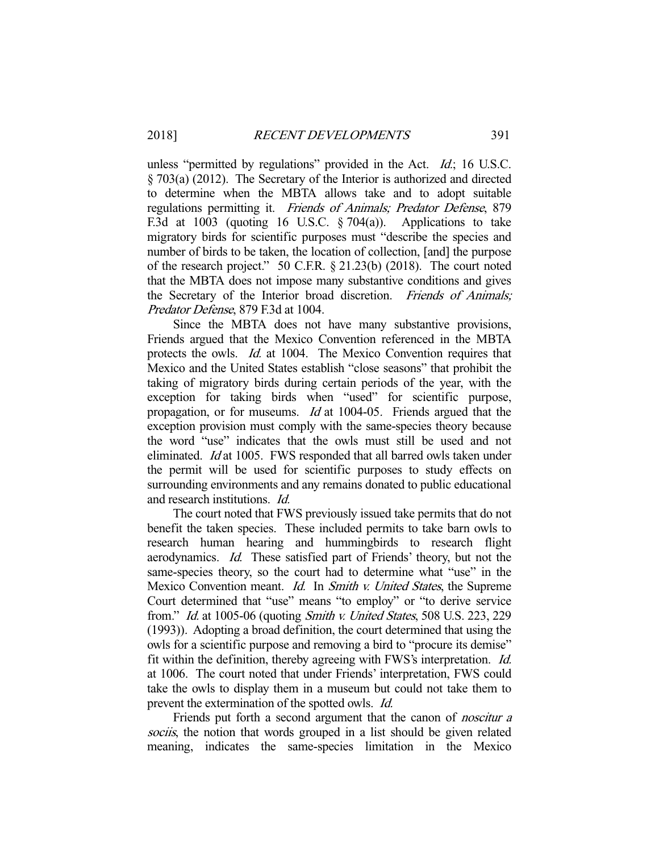unless "permitted by regulations" provided in the Act. *Id.*; 16 U.S.C. § 703(a) (2012). The Secretary of the Interior is authorized and directed to determine when the MBTA allows take and to adopt suitable regulations permitting it. Friends of Animals; Predator Defense, 879 F.3d at 1003 (quoting 16 U.S.C.  $\S 704(a)$ ). Applications to take migratory birds for scientific purposes must "describe the species and number of birds to be taken, the location of collection, [and] the purpose of the research project." 50 C.F.R. § 21.23(b) (2018). The court noted that the MBTA does not impose many substantive conditions and gives the Secretary of the Interior broad discretion. Friends of Animals; Predator Defense, 879 F.3d at 1004.

 Since the MBTA does not have many substantive provisions, Friends argued that the Mexico Convention referenced in the MBTA protects the owls. *Id.* at 1004. The Mexico Convention requires that Mexico and the United States establish "close seasons" that prohibit the taking of migratory birds during certain periods of the year, with the exception for taking birds when "used" for scientific purpose, propagation, or for museums.  $Id$  at 1004-05. Friends argued that the exception provision must comply with the same-species theory because the word "use" indicates that the owls must still be used and not eliminated. Id at 1005. FWS responded that all barred owls taken under the permit will be used for scientific purposes to study effects on surrounding environments and any remains donated to public educational and research institutions. Id.

 The court noted that FWS previously issued take permits that do not benefit the taken species. These included permits to take barn owls to research human hearing and hummingbirds to research flight aerodynamics. Id. These satisfied part of Friends' theory, but not the same-species theory, so the court had to determine what "use" in the Mexico Convention meant. *Id.* In *Smith v. United States*, the Supreme Court determined that "use" means "to employ" or "to derive service from." Id. at 1005-06 (quoting Smith v. United States, 508 U.S. 223, 229 (1993)). Adopting a broad definition, the court determined that using the owls for a scientific purpose and removing a bird to "procure its demise" fit within the definition, thereby agreeing with FWS's interpretation. Id. at 1006. The court noted that under Friends' interpretation, FWS could take the owls to display them in a museum but could not take them to prevent the extermination of the spotted owls. Id.

Friends put forth a second argument that the canon of *noscitur a* sociis, the notion that words grouped in a list should be given related meaning, indicates the same-species limitation in the Mexico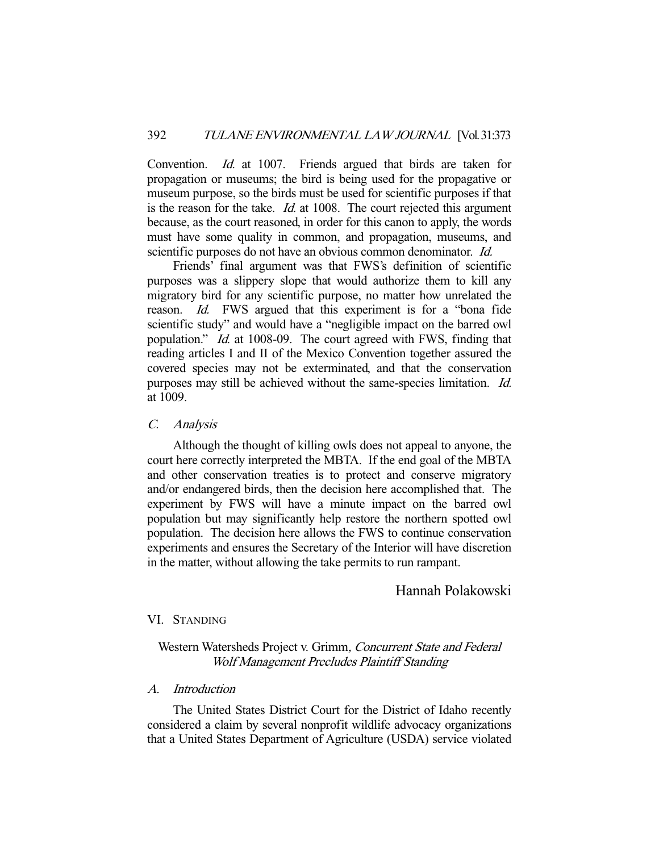Convention. Id. at 1007. Friends argued that birds are taken for propagation or museums; the bird is being used for the propagative or museum purpose, so the birds must be used for scientific purposes if that is the reason for the take. Id. at 1008. The court rejected this argument because, as the court reasoned, in order for this canon to apply, the words must have some quality in common, and propagation, museums, and scientific purposes do not have an obvious common denominator. *Id.* 

 Friends' final argument was that FWS's definition of scientific purposes was a slippery slope that would authorize them to kill any migratory bird for any scientific purpose, no matter how unrelated the reason. Id. FWS argued that this experiment is for a "bona fide scientific study" and would have a "negligible impact on the barred owl population." Id. at 1008-09. The court agreed with FWS, finding that reading articles I and II of the Mexico Convention together assured the covered species may not be exterminated, and that the conservation purposes may still be achieved without the same-species limitation. Id. at 1009.

## C. Analysis

 Although the thought of killing owls does not appeal to anyone, the court here correctly interpreted the MBTA. If the end goal of the MBTA and other conservation treaties is to protect and conserve migratory and/or endangered birds, then the decision here accomplished that. The experiment by FWS will have a minute impact on the barred owl population but may significantly help restore the northern spotted owl population. The decision here allows the FWS to continue conservation experiments and ensures the Secretary of the Interior will have discretion in the matter, without allowing the take permits to run rampant.

# Hannah Polakowski

#### VI. STANDING

# Western Watersheds Project v. Grimm, Concurrent State and Federal Wolf Management Precludes Plaintiff Standing

# A. Introduction

 The United States District Court for the District of Idaho recently considered a claim by several nonprofit wildlife advocacy organizations that a United States Department of Agriculture (USDA) service violated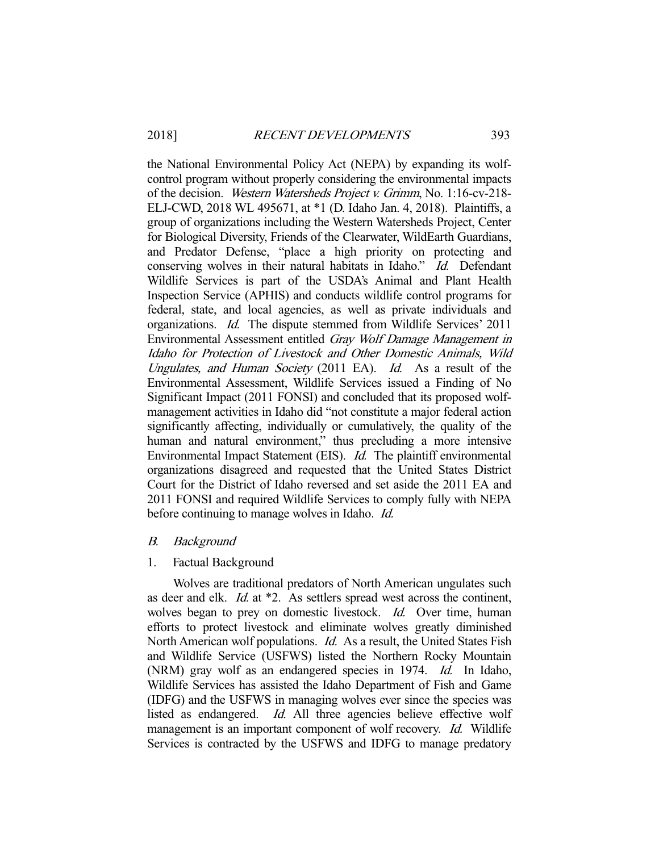the National Environmental Policy Act (NEPA) by expanding its wolfcontrol program without properly considering the environmental impacts of the decision. Western Watersheds Project v. Grimm, No. 1:16-cv-218- ELJ-CWD, 2018 WL 495671, at \*1 (D. Idaho Jan. 4, 2018). Plaintiffs, a group of organizations including the Western Watersheds Project, Center for Biological Diversity, Friends of the Clearwater, WildEarth Guardians, and Predator Defense, "place a high priority on protecting and conserving wolves in their natural habitats in Idaho." Id. Defendant Wildlife Services is part of the USDA's Animal and Plant Health Inspection Service (APHIS) and conducts wildlife control programs for federal, state, and local agencies, as well as private individuals and organizations. Id. The dispute stemmed from Wildlife Services' 2011 Environmental Assessment entitled Gray Wolf Damage Management in Idaho for Protection of Livestock and Other Domestic Animals, Wild Ungulates, and Human Society (2011 EA). Id. As a result of the Environmental Assessment, Wildlife Services issued a Finding of No Significant Impact (2011 FONSI) and concluded that its proposed wolfmanagement activities in Idaho did "not constitute a major federal action significantly affecting, individually or cumulatively, the quality of the human and natural environment," thus precluding a more intensive Environmental Impact Statement (EIS). Id. The plaintiff environmental organizations disagreed and requested that the United States District Court for the District of Idaho reversed and set aside the 2011 EA and 2011 FONSI and required Wildlife Services to comply fully with NEPA before continuing to manage wolves in Idaho. *Id.* 

#### B. Background

#### 1. Factual Background

 Wolves are traditional predators of North American ungulates such as deer and elk. Id. at \*2. As settlers spread west across the continent, wolves began to prey on domestic livestock. *Id.* Over time, human efforts to protect livestock and eliminate wolves greatly diminished North American wolf populations. Id. As a result, the United States Fish and Wildlife Service (USFWS) listed the Northern Rocky Mountain (NRM) gray wolf as an endangered species in 1974. *Id.* In Idaho, Wildlife Services has assisted the Idaho Department of Fish and Game (IDFG) and the USFWS in managing wolves ever since the species was listed as endangered. *Id.* All three agencies believe effective wolf management is an important component of wolf recovery. *Id.* Wildlife Services is contracted by the USFWS and IDFG to manage predatory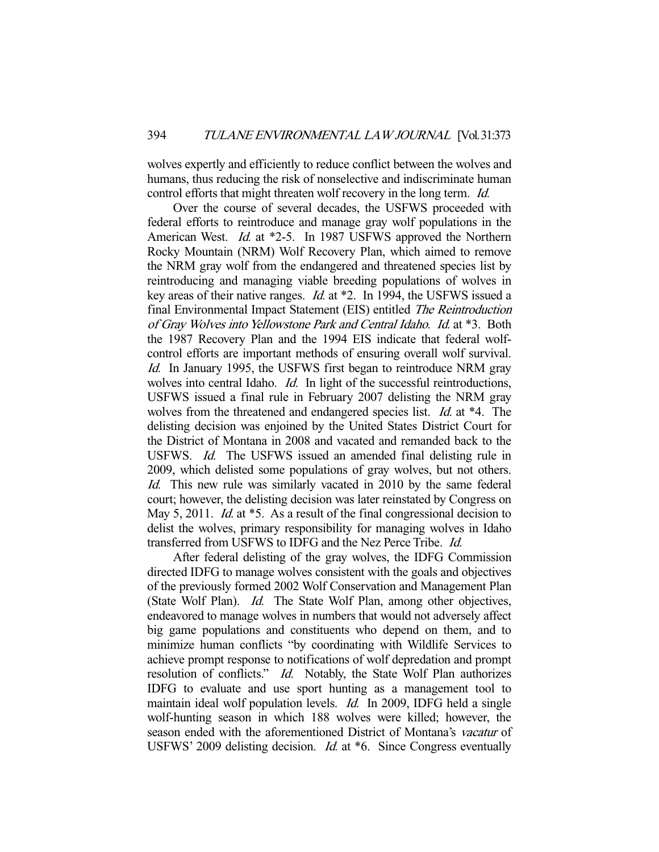wolves expertly and efficiently to reduce conflict between the wolves and humans, thus reducing the risk of nonselective and indiscriminate human control efforts that might threaten wolf recovery in the long term. *Id.* 

 Over the course of several decades, the USFWS proceeded with federal efforts to reintroduce and manage gray wolf populations in the American West. *Id.* at \*2-5. In 1987 USFWS approved the Northern Rocky Mountain (NRM) Wolf Recovery Plan, which aimed to remove the NRM gray wolf from the endangered and threatened species list by reintroducing and managing viable breeding populations of wolves in key areas of their native ranges. Id. at \*2. In 1994, the USFWS issued a final Environmental Impact Statement (EIS) entitled The Reintroduction of Gray Wolves into Yellowstone Park and Central Idaho. Id. at \*3. Both the 1987 Recovery Plan and the 1994 EIS indicate that federal wolfcontrol efforts are important methods of ensuring overall wolf survival. Id. In January 1995, the USFWS first began to reintroduce NRM gray wolves into central Idaho. *Id.* In light of the successful reintroductions, USFWS issued a final rule in February 2007 delisting the NRM gray wolves from the threatened and endangered species list. *Id.* at \*4. The delisting decision was enjoined by the United States District Court for the District of Montana in 2008 and vacated and remanded back to the USFWS. Id. The USFWS issued an amended final delisting rule in 2009, which delisted some populations of gray wolves, but not others. Id. This new rule was similarly vacated in 2010 by the same federal court; however, the delisting decision was later reinstated by Congress on May 5, 2011. *Id.* at \*5. As a result of the final congressional decision to delist the wolves, primary responsibility for managing wolves in Idaho transferred from USFWS to IDFG and the Nez Perce Tribe. Id.

 After federal delisting of the gray wolves, the IDFG Commission directed IDFG to manage wolves consistent with the goals and objectives of the previously formed 2002 Wolf Conservation and Management Plan (State Wolf Plan). Id. The State Wolf Plan, among other objectives, endeavored to manage wolves in numbers that would not adversely affect big game populations and constituents who depend on them, and to minimize human conflicts "by coordinating with Wildlife Services to achieve prompt response to notifications of wolf depredation and prompt resolution of conflicts." *Id.* Notably, the State Wolf Plan authorizes IDFG to evaluate and use sport hunting as a management tool to maintain ideal wolf population levels. Id. In 2009, IDFG held a single wolf-hunting season in which 188 wolves were killed; however, the season ended with the aforementioned District of Montana's *vacatur* of USFWS' 2009 delisting decision. *Id.* at \*6. Since Congress eventually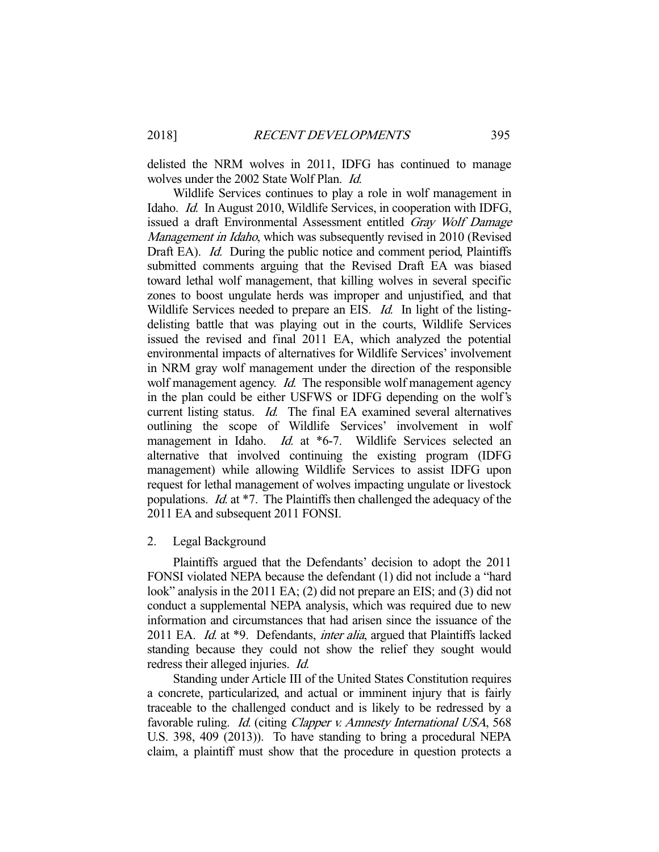delisted the NRM wolves in 2011, IDFG has continued to manage wolves under the 2002 State Wolf Plan. *Id.* 

 Wildlife Services continues to play a role in wolf management in Idaho. Id. In August 2010, Wildlife Services, in cooperation with IDFG, issued a draft Environmental Assessment entitled Gray Wolf Damage Management in Idaho, which was subsequently revised in 2010 (Revised Draft EA). Id. During the public notice and comment period, Plaintiffs submitted comments arguing that the Revised Draft EA was biased toward lethal wolf management, that killing wolves in several specific zones to boost ungulate herds was improper and unjustified, and that Wildlife Services needed to prepare an EIS. *Id.* In light of the listingdelisting battle that was playing out in the courts, Wildlife Services issued the revised and final 2011 EA, which analyzed the potential environmental impacts of alternatives for Wildlife Services' involvement in NRM gray wolf management under the direction of the responsible wolf management agency. *Id.* The responsible wolf management agency in the plan could be either USFWS or IDFG depending on the wolf's current listing status. *Id.* The final EA examined several alternatives outlining the scope of Wildlife Services' involvement in wolf management in Idaho. *Id.* at \*6-7. Wildlife Services selected an alternative that involved continuing the existing program (IDFG management) while allowing Wildlife Services to assist IDFG upon request for lethal management of wolves impacting ungulate or livestock populations. Id. at \*7. The Plaintiffs then challenged the adequacy of the 2011 EA and subsequent 2011 FONSI.

#### 2. Legal Background

 Plaintiffs argued that the Defendants' decision to adopt the 2011 FONSI violated NEPA because the defendant (1) did not include a "hard look" analysis in the 2011 EA; (2) did not prepare an EIS; and (3) did not conduct a supplemental NEPA analysis, which was required due to new information and circumstances that had arisen since the issuance of the 2011 EA. *Id.* at \*9. Defendants, *inter alia*, argued that Plaintiffs lacked standing because they could not show the relief they sought would redress their alleged injuries. Id.

 Standing under Article III of the United States Constitution requires a concrete, particularized, and actual or imminent injury that is fairly traceable to the challenged conduct and is likely to be redressed by a favorable ruling. Id. (citing Clapper v. Amnesty International USA, 568 U.S. 398, 409 (2013)). To have standing to bring a procedural NEPA claim, a plaintiff must show that the procedure in question protects a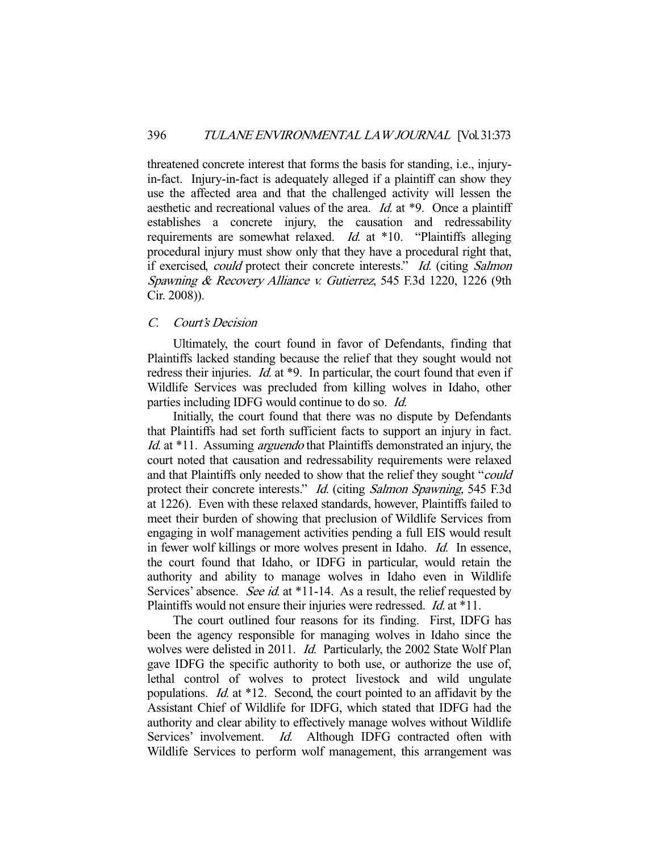threatened concrete interest that forms the basis for standing, i.e., injuryin-fact. Injury-in-fact is adequately alleged if a plaintiff can show they use the affected area and that the challenged activity will lessen the aesthetic and recreational values of the area. *Id.* at \*9. Once a plaintiff establishes a concrete injury, the causation and redressability requirements are somewhat relaxed. *Id.* at \*10. "Plaintiffs alleging procedural injury must show only that they have a procedural right that, if exercised, could protect their concrete interests." Id. (citing Salmon Spawning & Recovery Alliance v. Gutierrez, 545 F.3d 1220, 1226 (9th Cir. 2008)).

## C. Court's Decision

 Ultimately, the court found in favor of Defendants, finding that Plaintiffs lacked standing because the relief that they sought would not redress their injuries. *Id.* at \*9. In particular, the court found that even if Wildlife Services was precluded from killing wolves in Idaho, other parties including IDFG would continue to do so. Id.

 Initially, the court found that there was no dispute by Defendants that Plaintiffs had set forth sufficient facts to support an injury in fact. Id. at \*11. Assuming *arguendo* that Plaintiffs demonstrated an injury, the court noted that causation and redressability requirements were relaxed and that Plaintiffs only needed to show that the relief they sought "could protect their concrete interests." Id. (citing Salmon Spawning, 545 F.3d at 1226). Even with these relaxed standards, however, Plaintiffs failed to meet their burden of showing that preclusion of Wildlife Services from engaging in wolf management activities pending a full EIS would result in fewer wolf killings or more wolves present in Idaho. Id. In essence, the court found that Idaho, or IDFG in particular, would retain the authority and ability to manage wolves in Idaho even in Wildlife Services' absence. See id. at \*11-14. As a result, the relief requested by Plaintiffs would not ensure their injuries were redressed. *Id.* at \*11.

 The court outlined four reasons for its finding. First, IDFG has been the agency responsible for managing wolves in Idaho since the wolves were delisted in 2011. *Id.* Particularly, the 2002 State Wolf Plan gave IDFG the specific authority to both use, or authorize the use of, lethal control of wolves to protect livestock and wild ungulate populations. Id. at \*12. Second, the court pointed to an affidavit by the Assistant Chief of Wildlife for IDFG, which stated that IDFG had the authority and clear ability to effectively manage wolves without Wildlife Services' involvement. *Id.* Although IDFG contracted often with Wildlife Services to perform wolf management, this arrangement was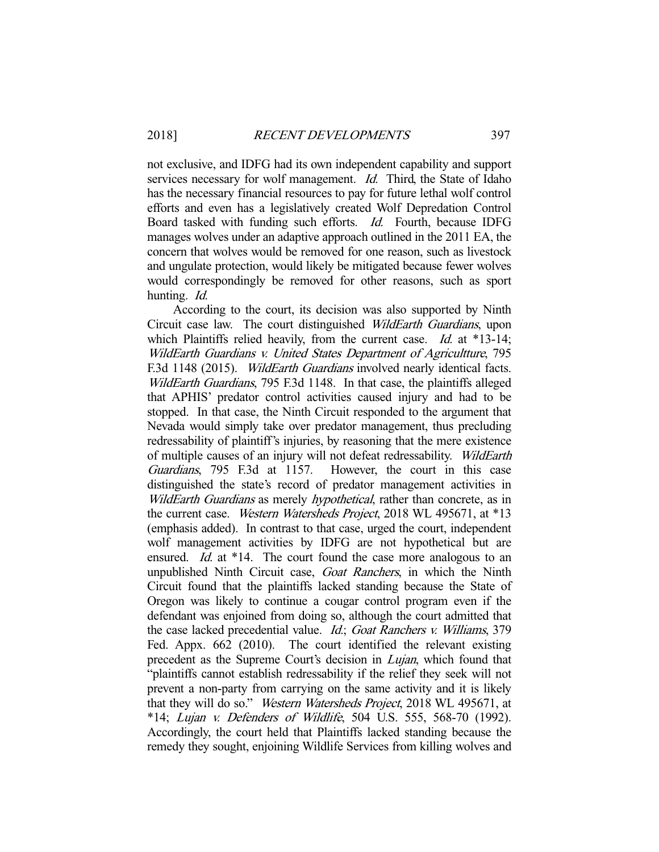not exclusive, and IDFG had its own independent capability and support services necessary for wolf management. *Id.* Third, the State of Idaho has the necessary financial resources to pay for future lethal wolf control efforts and even has a legislatively created Wolf Depredation Control Board tasked with funding such efforts. Id. Fourth, because IDFG manages wolves under an adaptive approach outlined in the 2011 EA, the concern that wolves would be removed for one reason, such as livestock and ungulate protection, would likely be mitigated because fewer wolves would correspondingly be removed for other reasons, such as sport hunting. Id.

 According to the court, its decision was also supported by Ninth Circuit case law. The court distinguished WildEarth Guardians, upon which Plaintiffs relied heavily, from the current case. *Id.* at  $*13-14$ ; WildEarth Guardians v. United States Department of Agricultture, 795 F.3d 1148 (2015). WildEarth Guardians involved nearly identical facts. WildEarth Guardians, 795 F.3d 1148. In that case, the plaintiffs alleged that APHIS' predator control activities caused injury and had to be stopped. In that case, the Ninth Circuit responded to the argument that Nevada would simply take over predator management, thus precluding redressability of plaintiff's injuries, by reasoning that the mere existence of multiple causes of an injury will not defeat redressability. WildEarth Guardians, 795 F.3d at 1157. However, the court in this case distinguished the state's record of predator management activities in WildEarth Guardians as merely *hypothetical*, rather than concrete, as in the current case. Western Watersheds Project, 2018 WL 495671, at \*13 (emphasis added). In contrast to that case, urged the court, independent wolf management activities by IDFG are not hypothetical but are ensured. *Id.* at \*14. The court found the case more analogous to an unpublished Ninth Circuit case, Goat Ranchers, in which the Ninth Circuit found that the plaintiffs lacked standing because the State of Oregon was likely to continue a cougar control program even if the defendant was enjoined from doing so, although the court admitted that the case lacked precedential value. Id.; Goat Ranchers v. Williams, 379 Fed. Appx. 662 (2010). The court identified the relevant existing precedent as the Supreme Court's decision in *Lujan*, which found that "plaintiffs cannot establish redressability if the relief they seek will not prevent a non-party from carrying on the same activity and it is likely that they will do so." Western Watersheds Project, 2018 WL 495671, at \*14; Lujan v. Defenders of Wildlife, 504 U.S. 555, 568-70 (1992). Accordingly, the court held that Plaintiffs lacked standing because the remedy they sought, enjoining Wildlife Services from killing wolves and